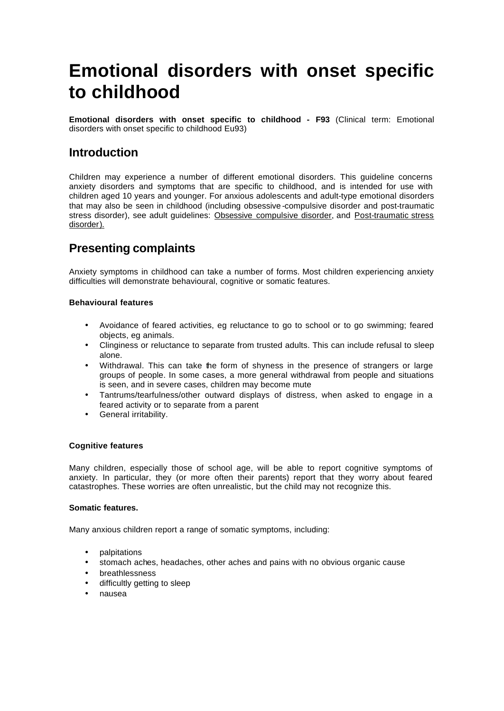# **Emotional disorders with onset specific to childhood**

**Emotional disorders with onset specific to childhood - F93** (Clinical term: Emotional disorders with onset specific to childhood Eu93)

# **Introduction**

Children may experience a number of different emotional disorders. This guideline concerns anxiety disorders and symptoms that are specific to childhood, and is intended for use with children aged 10 years and younger. For anxious adolescents and adult-type emotional disorders that may also be seen in childhood (including obsessive -compulsive disorder and post-traumatic stress disorder), see adult guidelines: Obsessive compulsive disorder, and Post-traumatic stress disorder).

# **Presenting complaints**

Anxiety symptoms in childhood can take a number of forms. Most children experiencing anxiety difficulties will demonstrate behavioural, cognitive or somatic features.

### **Behavioural features**

- Avoidance of feared activities, eg reluctance to go to school or to go swimming; feared objects, eg animals.
- Clinginess or reluctance to separate from trusted adults. This can include refusal to sleep alone.
- Withdrawal. This can take the form of shyness in the presence of strangers or large groups of people. In some cases, a more general withdrawal from people and situations is seen, and in severe cases, children may become mute
- Tantrums/tearfulness/other outward displays of distress, when asked to engage in a feared activity or to separate from a parent
- General irritability.

### **Cognitive features**

Many children, especially those of school age, will be able to report cognitive symptoms of anxiety. In particular, they (or more often their parents) report that they worry about feared catastrophes. These worries are often unrealistic, but the child may not recognize this.

#### **Somatic features.**

Many anxious children report a range of somatic symptoms, including:

- palpitations
- stomach aches, headaches, other aches and pains with no obvious organic cause
- **breathlessness**
- difficultly getting to sleep
- nausea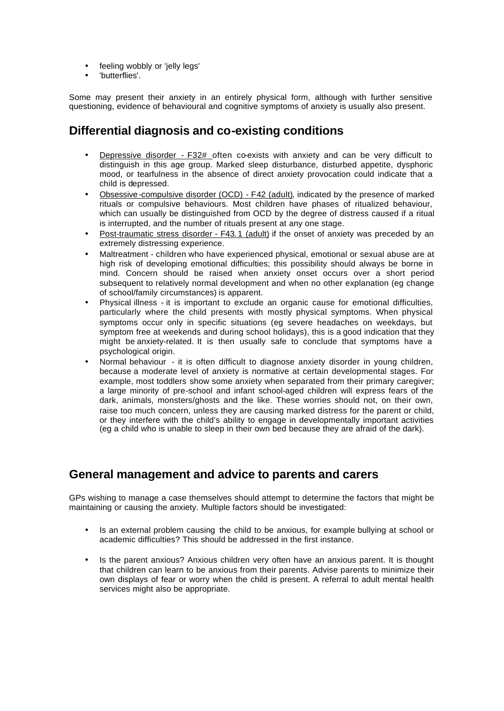- feeling wobbly or 'jelly legs'
- 'butterflies'.

Some may present their anxiety in an entirely physical form, although with further sensitive questioning, evidence of behavioural and cognitive symptoms of anxiety is usually also present.

## **Differential diagnosis and co-existing conditions**

- Depressive disorder F32# often co-exists with anxiety and can be very difficult to distinguish in this age group. Marked sleep disturbance, disturbed appetite, dysphoric mood, or tearfulness in the absence of direct anxiety provocation could indicate that a child is depressed.
- Obsessive -compulsive disorder (OCD) F42 (adult), indicated by the presence of marked rituals or compulsive behaviours. Most children have phases of ritualized behaviour, which can usually be distinguished from OCD by the degree of distress caused if a ritual is interrupted, and the number of rituals present at any one stage.
- Post-traumatic stress disorder F43.1 (adult) if the onset of anxiety was preceded by an extremely distressing experience.
- Maltreatment children who have experienced physical, emotional or sexual abuse are at high risk of developing emotional difficulties; this possibility should always be borne in mind. Concern should be raised when anxiety onset occurs over a short period subsequent to relatively normal development and when no other explanation (eg change of school/family circumstances) is apparent.
- Physical illness it is important to exclude an organic cause for emotional difficulties, particularly where the child presents with mostly physical symptoms. When physical symptoms occur only in specific situations (eg severe headaches on weekdays, but symptom free at weekends and during school holidays), this is a good indication that they might be anxiety-related. It is then usually safe to conclude that symptoms have a psychological origin.
- Normal behaviour it is often difficult to diagnose anxiety disorder in young children, because a moderate level of anxiety is normative at certain developmental stages. For example, most toddlers show some anxiety when separated from their primary caregiver; a large minority of pre-school and infant school-aged children will express fears of the dark, animals, monsters/ghosts and the like. These worries should not, on their own, raise too much concern, unless they are causing marked distress for the parent or child, or they interfere with the child's ability to engage in developmentally important activities (eg a child who is unable to sleep in their own bed because they are afraid of the dark).

## **General management and advice to parents and carers**

GPs wishing to manage a case themselves should attempt to determine the factors that might be maintaining or causing the anxiety. Multiple factors should be investigated:

- Is an external problem causing the child to be anxious, for example bullying at school or academic difficulties? This should be addressed in the first instance.
- Is the parent anxious? Anxious children very often have an anxious parent. It is thought that children can learn to be anxious from their parents. Advise parents to minimize their own displays of fear or worry when the child is present. A referral to adult mental health services might also be appropriate.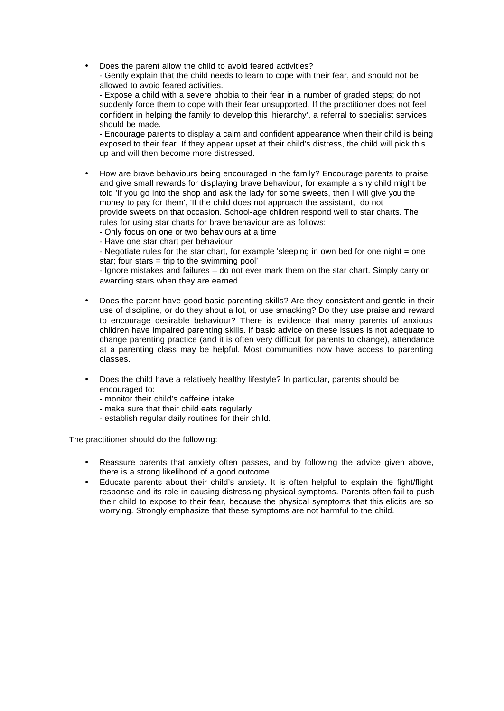• Does the parent allow the child to avoid feared activities?

- Gently explain that the child needs to learn to cope with their fear, and should not be allowed to avoid feared activities.

- Expose a child with a severe phobia to their fear in a number of graded steps; do not suddenly force them to cope with their fear unsupported. If the practitioner does not feel confident in helping the family to develop this 'hierarchy', a referral to specialist services should be made.

- Encourage parents to display a calm and confident appearance when their child is being exposed to their fear. If they appear upset at their child's distress, the child will pick this up and will then become more distressed.

- How are brave behaviours being encouraged in the family? Encourage parents to praise and give small rewards for displaying brave behaviour, for example a shy child might be told 'If you go into the shop and ask the lady for some sweets, then I will give you the money to pay for them', 'If the child does not approach the assistant, do not provide sweets on that occasion. School-age children respond well to star charts. The rules for using star charts for brave behaviour are as follows:
	- Only focus on one or two behaviours at a time
	- Have one star chart per behaviour

- Negotiate rules for the star chart, for example 'sleeping in own bed for one night = one star; four stars = trip to the swimming pool'

- Ignore mistakes and failures – do not ever mark them on the star chart. Simply carry on awarding stars when they are earned.

- Does the parent have good basic parenting skills? Are they consistent and gentle in their use of discipline, or do they shout a lot, or use smacking? Do they use praise and reward to encourage desirable behaviour? There is evidence that many parents of anxious children have impaired parenting skills. If basic advice on these issues is not adequate to change parenting practice (and it is often very difficult for parents to change), attendance at a parenting class may be helpful. Most communities now have access to parenting classes.
- Does the child have a relatively healthy lifestyle? In particular, parents should be encouraged to:
	- monitor their child's caffeine intake
	- make sure that their child eats regularly
	- establish regular daily routines for their child.

The practitioner should do the following:

- Reassure parents that anxiety often passes, and by following the advice given above, there is a strong likelihood of a good outcome.
- Educate parents about their child's anxiety. It is often helpful to explain the fight/flight response and its role in causing distressing physical symptoms. Parents often fail to push their child to expose to their fear, because the physical symptoms that this elicits are so worrying. Strongly emphasize that these symptoms are not harmful to the child.